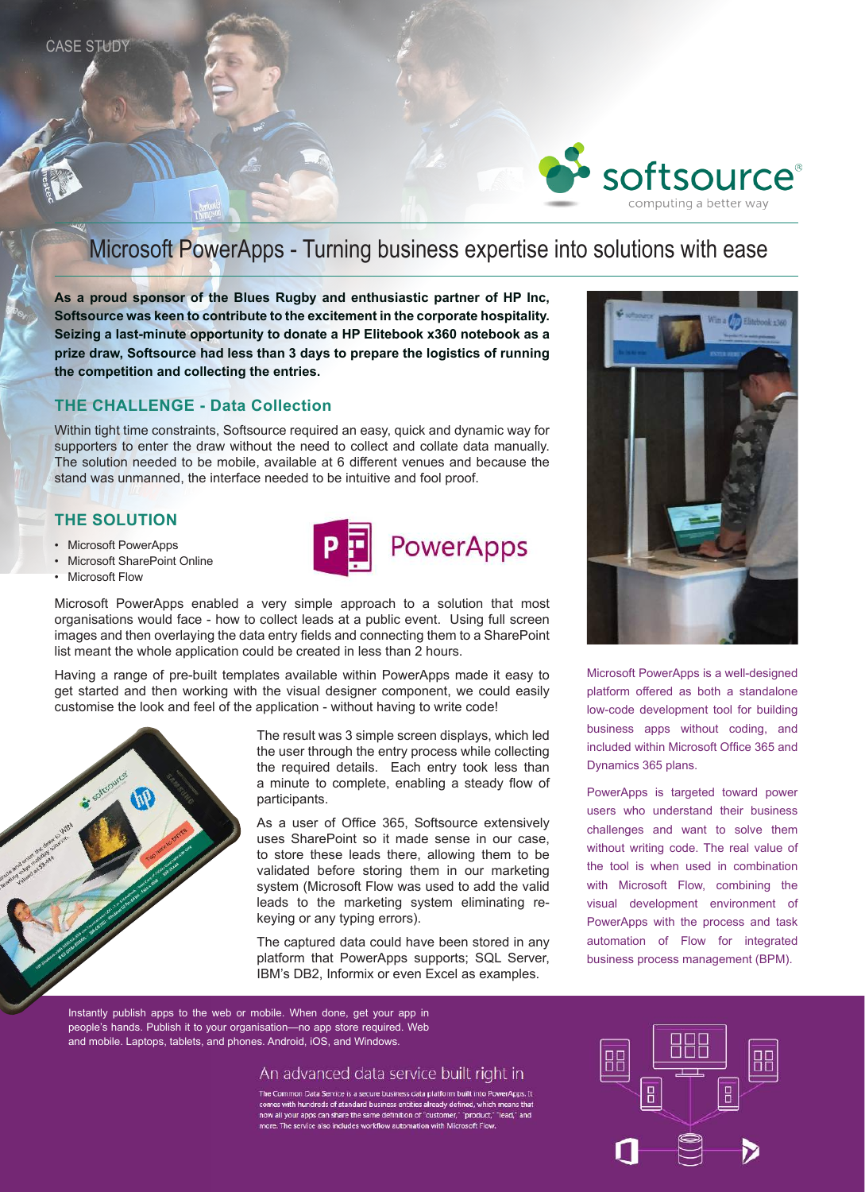

# Microsoft PowerApps - Turning business expertise into solutions with ease

**PowerApps** 

**As a proud sponsor of the Blues Rugby and enthusiastic partner of HP Inc, Softsource was keen to contribute to the excitement in the corporate hospitality. Seizing a last-minute opportunity to donate a HP Elitebook x360 notebook as a prize draw, Softsource had less than 3 days to prepare the logistics of running the competition and collecting the entries.** 

# **THE CHALLENGE - Data Collection**

Within tight time constraints, Softsource required an easy, quick and dynamic way for supporters to enter the draw without the need to collect and collate data manually. The solution needed to be mobile, available at 6 different venues and because the stand was unmanned, the interface needed to be intuitive and fool proof.

### **THE SOLUTION**

- • Microsoft PowerApps
- Microsoft SharePoint Online
- Microsoft Flow

Microsoft PowerApps enabled a very simple approach to a solution that most organisations would face - how to collect leads at a public event. Using full screen images and then overlaying the data entry fields and connecting them to a SharePoint list meant the whole application could be created in less than 2 hours.

Having a range of pre-built templates available within PowerApps made it easy to get started and then working with the visual designer component, we could easily customise the look and feel of the application - without having to write code!



The result was 3 simple screen displays, which led the user through the entry process while collecting the required details. Each entry took less than a minute to complete, enabling a steady flow of participants.

As a user of Office 365, Softsource extensively uses SharePoint so it made sense in our case, to store these leads there, allowing them to be validated before storing them in our marketing system (Microsoft Flow was used to add the valid leads to the marketing system eliminating rekeying or any typing errors).

The captured data could have been stored in any platform that PowerApps supports; SQL Server, IBM's DB2, Informix or even Excel as examples.



Microsoft PowerApps is a well-designed platform offered as both a standalone low-code development tool for building business apps without coding, and included within Microsoft Office 365 and Dynamics 365 plans.

PowerApps is targeted toward power users who understand their business challenges and want to solve them without writing code. The real value of the tool is when used in combination with Microsoft Flow, combining the visual development environment of PowerApps with the process and task automation of Flow for integrated business process management (BPM).

Instantly publish apps to the web or mobile. When done, get your app in people's hands. Publish it to your organisation—no app store required. Web and mobile. Laptops, tablets, and phones. Android, iOS, and Windows.

## An advanced data service built right in

The Common Data Service is a secure business data platform built into PowerApps. It comes with hundreds of standard business entities already defined, which mean now all your apps can share the same definition of "customer," "product," "lead," and more. The service also includes workflow automation with Microsoft Flow